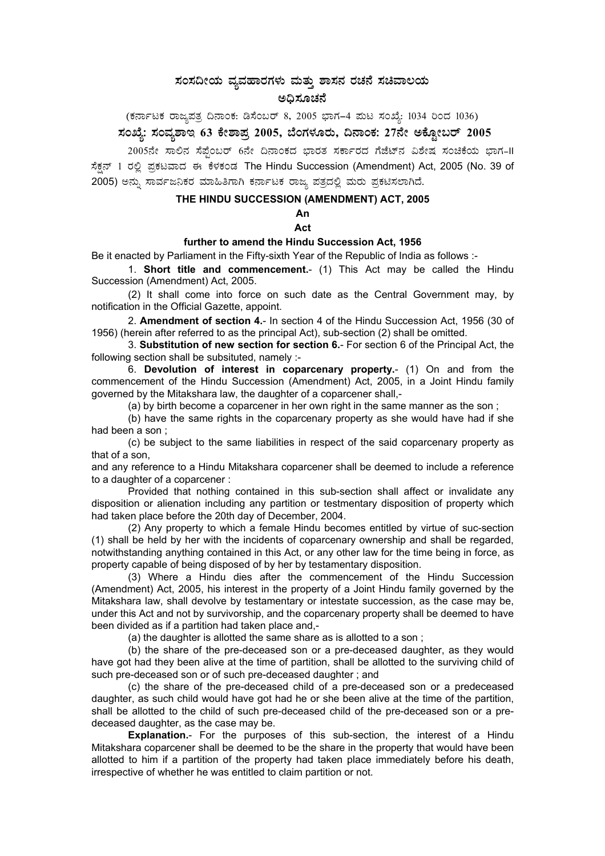## $\,$ ಸಂಸದೀಯ ವ್ಯವಹಾರಗಳು ಮತ್ತು ಶಾಸನ ರಚನೆ ಸಚಿವಾಲಯ **C¢ü¸ÀÆZÀ£É**

 $($ ಕರ್ನಾಟಕ ರಾಜ್ಯಪತ್ರ ದಿನಾಂಕ: ಡಿಸೆಂಬರ್ 8, 2005 ಭಾಗ–4 ಮಟ ಸಂಖ್ಯೆ: 1034 ರಿಂದ 1036)

# ಸಂಖ್ಯೆ: ಸಂವ್ನಶಾಇ 63 ಕೇಶಾಪ್ರ 2005, ಬೆಂಗಳೂರು, ದಿನಾಂಕ: 27ನೇ ಅಕ್ಟೋಬರ್ 2005

2005ನೇ ಸಾಲಿನ ಸೆಪ್ಪೆಂಬರ್ 6ನೇ ದಿನಾಂಕದ ಭಾರತ ಸರ್ಕಾರದ ಗೆಜೆಟ್ನ ವಿಶೇಷ ಸಂಚಿಕೆಯ ಭಾಗ-II ಸೆಕ್ಷನ್ 1 ರಲ್ಲಿ ಪ್ರಕಟವಾದ ಈ ಕೆಳಕಂಡ The Hindu Succession (Amendment) Act, 2005 (No. 39 of 2005) ಅನ್ನು ಸಾರ್ವಜನಿಕರ ಮಾಹಿತಿಗಾಗಿ ಕರ್ನಾಟಕ ರಾಜ್ಯ ಪತ್ರದಲ್ಲಿ ಮರು ಪ್ರಕಟಿಸಲಾಗಿದೆ.

#### **THE HINDU SUCCESSION (AMENDMENT) ACT, 2005**

**An Act** 

#### **further to amend the Hindu Succession Act, 1956**

Be it enacted by Parliament in the Fifty-sixth Year of the Republic of India as follows :-

 1. **Short title and commencement.**- (1) This Act may be called the Hindu Succession (Amendment) Act, 2005.

(2) It shall come into force on such date as the Central Government may, by notification in the Official Gazette, appoint.

 2. **Amendment of section 4.**- In section 4 of the Hindu Succession Act, 1956 (30 of 1956) (herein after referred to as the principal Act), sub-section (2) shall be omitted.

 3. **Substitution of new section for section 6.**- For section 6 of the Principal Act, the following section shall be subsituted, namely :-

 6. **Devolution of interest in coparcenary property.**- (1) On and from the commencement of the Hindu Succession (Amendment) Act, 2005, in a Joint Hindu family governed by the Mitakshara law, the daughter of a coparcener shall,-

(a) by birth become a coparcener in her own right in the same manner as the son ;

(b) have the same rights in the coparcenary property as she would have had if she had been a son ;

(c) be subject to the same liabilities in respect of the said coparcenary property as that of a son,

and any reference to a Hindu Mitakshara coparcener shall be deemed to include a reference to a daughter of a coparcener :

Provided that nothing contained in this sub-section shall affect or invalidate any disposition or alienation including any partition or testmentary disposition of property which had taken place before the 20th day of December, 2004.

(2) Any property to which a female Hindu becomes entitled by virtue of suc-section (1) shall be held by her with the incidents of coparcenary ownership and shall be regarded, notwithstanding anything contained in this Act, or any other law for the time being in force, as property capable of being disposed of by her by testamentary disposition.

(3) Where a Hindu dies after the commencement of the Hindu Succession (Amendment) Act, 2005, his interest in the property of a Joint Hindu family governed by the Mitakshara law, shall devolve by testamentary or intestate succession, as the case may be, under this Act and not by survivorship, and the coparcenary property shall be deemed to have been divided as if a partition had taken place and,-

(a) the daughter is allotted the same share as is allotted to a son ;

(b) the share of the pre-deceased son or a pre-deceased daughter, as they would have got had they been alive at the time of partition, shall be allotted to the surviving child of such pre-deceased son or of such pre-deceased daughter ; and

(c) the share of the pre-deceased child of a pre-deceased son or a predeceased daughter, as such child would have got had he or she been alive at the time of the partition, shall be allotted to the child of such pre-deceased child of the pre-deceased son or a predeceased daughter, as the case may be.

**Explanation.**- For the purposes of this sub-section, the interest of a Hindu Mitakshara coparcener shall be deemed to be the share in the property that would have been allotted to him if a partition of the property had taken place immediately before his death, irrespective of whether he was entitled to claim partition or not.